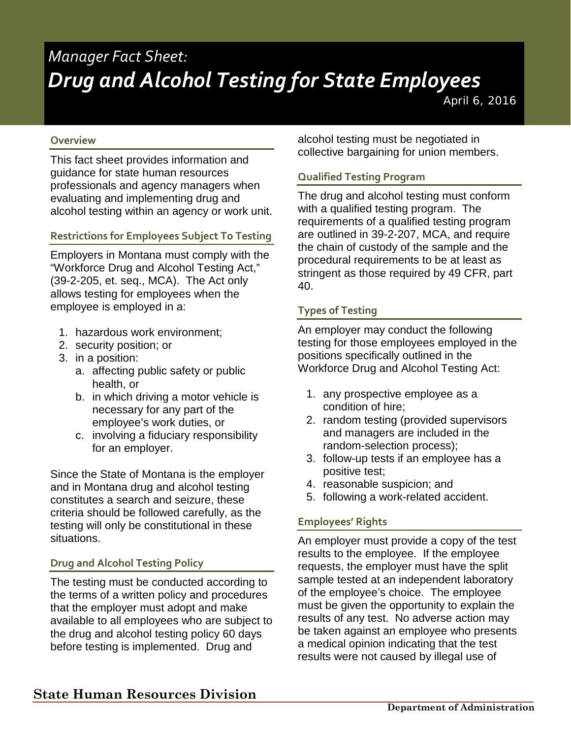# *Manager Fact Sheet: Drug and Alcohol Testing for State Employees*

*April 6, 2016* 

#### **Overview**

This fact sheet provides information and guidance for state human resources professionals and agency managers when evaluating and implementing drug and alcohol testing within an agency or work unit.

#### **Restrictions for Employees Subject To Testing**

Employers in Montana must comply with the "Workforce Drug and Alcohol Testing Act," (39-2-205, et. seq., MCA). The Act only allows testing for employees when the employee is employed in a:

- 1. hazardous work environment;
- 2. security position; or
- 3. in a position:
	- a. affecting public safety or public health, or
	- b. in which driving a motor vehicle is necessary for any part of the employee's work duties, or
	- c. involving a fiduciary responsibility for an employer.

Since the State of Montana is the employer and in Montana drug and alcohol testing constitutes a search and seizure, these criteria should be followed carefully, as the testing will only be constitutional in these situations.

#### **Drug and Alcohol Testing Policy**

The testing must be conducted according to the terms of a written policy and procedures that the employer must adopt and make available to all employees who are subject to the drug and alcohol testing policy 60 days before testing is implemented. Drug and

alcohol testing must be negotiated in collective bargaining for union members.

#### **Qualified Testing Program**

The drug and alcohol testing must conform with a qualified testing program. The requirements of a qualified testing program are outlined in 39-2-207, MCA, and require the chain of custody of the sample and the procedural requirements to be at least as stringent as those required by 49 CFR, part 40.

#### **Types of Testing**

An employer may conduct the following testing for those employees employed in the positions specifically outlined in the Workforce Drug and Alcohol Testing Act:

- 1. any prospective employee as a condition of hire;
- 2. random testing (provided supervisors and managers are included in the random-selection process);
- 3. follow-up tests if an employee has a positive test;
- 4. reasonable suspicion; and
- 5. following a work-related accident.

#### **Employees' Rights**

An employer must provide a copy of the test results to the employee. If the employee requests, the employer must have the split sample tested at an independent laboratory of the employee's choice. The employee must be given the opportunity to explain the results of any test. No adverse action may be taken against an employee who presents a medical opinion indicating that the test results were not caused by illegal use of

# **State Human Resources Division**